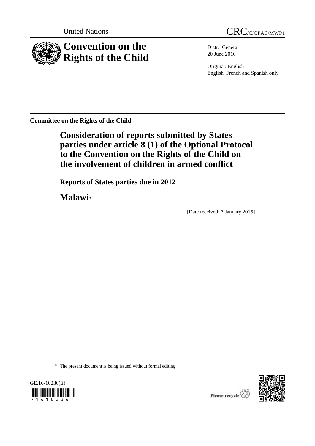

Distr.: General 20 June 2016

Original: English English, French and Spanish only

**Committee on the Rights of the Child**

**Consideration of reports submitted by States parties under article 8 (1) of the Optional Protocol to the Convention on the Rights of the Child on the involvement of children in armed conflict**

**Reports of States parties due in 2012**

**Malawi**\*

[Date received: 7 January 2015]

\* The present document is being issued without formal editing.



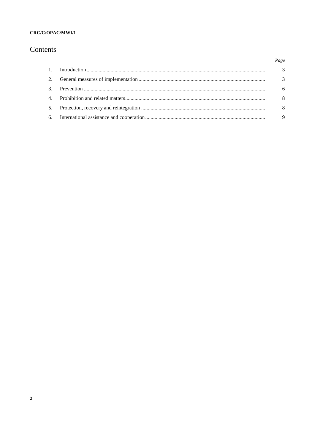### CRC/C/OPAC/MWI/1

# Contents

|  | Page                    |
|--|-------------------------|
|  | $\overline{\mathbf{3}}$ |
|  | $\overline{3}$          |
|  | 6                       |
|  | - 8                     |
|  | - 8                     |
|  | -9                      |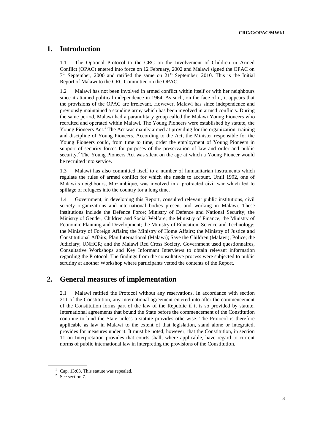## **1. Introduction**

1.1 The Optional Protocol to the CRC on the Involvement of Children in Armed Conflict (OPAC) entered into force on 12 February, 2002 and Malawi signed the OPAC on  $7<sup>th</sup>$  September, 2000 and ratified the same on 21 $<sup>st</sup>$  September, 2010. This is the Initial</sup> Report of Malawi to the CRC Committee on the OPAC.

1.2 Malawi has not been involved in armed conflict within itself or with her neighbours since it attained political independence in 1964. As such, on the face of it, it appears that the provisions of the OPAC are irrelevant. However, Malawi has since independence and previously maintained a standing army which has been involved in armed conflicts. During the same period, Malawi had a paramilitary group called the Malawi Young Pioneers who recruited and operated within Malawi. The Young Pioneers were established by statute, the Young Pioneers Act.<sup>1</sup> The Act was mainly aimed at providing for the organization, training and discipline of Young Pioneers. According to the Act, the Minister responsible for the Young Pioneers could, from time to time, order the employment of Young Pioneers in support of security forces for purposes of the preservation of law and order and public security.<sup>2</sup> The Young Pioneers Act was silent on the age at which a Young Pioneer would be recruited into service.

1.3 Malawi has also committed itself to a number of humanitarian instruments which regulate the rules of armed conflict for which she needs to account. Until 1992, one of Malawi's neighbours, Mozambique, was involved in a protracted civil war which led to spillage of refugees into the country for a long time.

1.4 Government, in developing this Report, consulted relevant public institutions, civil society organizations and international bodies present and working in Malawi. These institutions include the Defence Force; Ministry of Defence and National Security; the Ministry of Gender, Children and Social Welfare; the Ministry of Finance; the Ministry of Economic Planning and Development; the Ministry of Education, Science and Technology; the Ministry of Foreign Affairs; the Ministry of Home Affairs; the Ministry of Justice and Constitutional Affairs; Plan International (Malawi); Save the Children (Malawi); Police; the Judiciary; UNHCR; and the Malawi Red Cross Society. Government used questionnaires, Consultative Workshops and Key Informant Interviews to obtain relevant information regarding the Protocol. The findings from the consultative process were subjected to public scrutiny at another Workshop where participants vetted the contents of the Report.

## **2. General measures of implementation**

2.1 Malawi ratified the Protocol without any reservations. In accordance with section 211 of the Constitution, any international agreement entered into after the commencement of the Constitution forms part of the law of the Republic if it is so provided by statute. International agreements that bound the State before the commencement of the Constitution continue to bind the State unless a statute provides otherwise. The Protocol is therefore applicable as law in Malawi to the extent of that legislation, stand alone or integrated, provides for measures under it. It must be noted, however, that the Constitution, in section 11 on Interpretation provides that courts shall, where applicable, have regard to current norms of public international law in interpreting the provisions of the Constitution.

 $1$  Cap. 13:03. This statute was repealed.

 $2$  See section 7.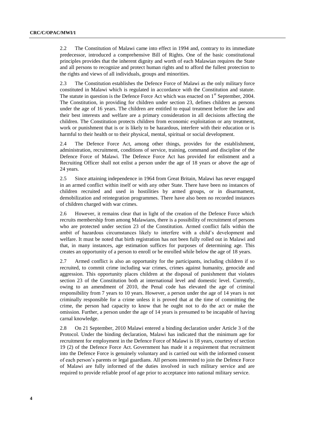2.2 The Constitution of Malawi came into effect in 1994 and, contrary to its immediate predecessor, introduced a comprehensive Bill of Rights. One of the basic constitutional principles provides that the inherent dignity and worth of each Malawian requires the State and all persons to recognize and protect human rights and to afford the fullest protection to the rights and views of all individuals, groups and minorities.

2.3 The Constitution establishes the Defence Force of Malawi as the only military force constituted in Malawi which is regulated in accordance with the Constitution and statute. The statute in question is the Defence Force Act which was enacted on  $1<sup>st</sup>$  September, 2004. The Constitution, in providing for children under section 23, defines children as persons under the age of 16 years. The children are entitled to equal treatment before the law and their best interests and welfare are a primary consideration in all decisions affecting the children. The Constitution protects children from economic exploitation or any treatment, work or punishment that is or is likely to be hazardous, interfere with their education or is harmful to their health or to their physical, mental, spiritual or social development.

2.4 The Defence Force Act, among other things, provides for the establishment, administration, recruitment, conditions of service, training, command and discipline of the Defence Force of Malawi. The Defence Force Act has provided for enlistment and a Recruiting Officer shall not enlist a person under the age of 18 years or above the age of 24 years.

2.5 Since attaining independence in 1964 from Great Britain, Malawi has never engaged in an armed conflict within itself or with any other State. There have been no instances of children recruited and used in hostilities by armed groups, or in disarmament, demobilization and reintegration programmes. There have also been no recorded instances of children charged with war crimes.

2.6 However, it remains clear that in light of the creation of the Defence Force which recruits membership from among Malawians, there is a possibility of recruitment of persons who are protected under section 23 of the Constitution. Armed conflict falls within the ambit of hazardous circumstances likely to interfere with a child's development and welfare. It must be noted that birth registration has not been fully rolled out in Malawi and that, in many instances, age estimation suffices for purposes of determining age. This creates an opportunity of a person to enroll or be enrolled while below the age of 18 years.

2.7 Armed conflict is also an opportunity for the participants, including children if so recruited, to commit crime including war crimes, crimes against humanity, genocide and aggression. This opportunity places children at the disposal of punishment that violates section 23 of the Constitution both at international level and domestic level. Currently, owing to an amendment of 2010, the Penal code has elevated the age of criminal responsibility from 7 years to 10 years. However, a person under the age of 14 years is not criminally responsible for a crime unless it is proved that at the time of committing the crime, the person had capacity to know that he ought not to do the act or make the omission. Further, a person under the age of 14 years is presumed to be incapable of having carnal knowledge.

2.8 On 21 September, 2010 Malawi entered a binding declaration under Article 3 of the Protocol. Under the binding declaration, Malawi has indicated that the minimum age for recruitment for employment in the Defence Force of Malawi is 18 years, courtesy of section 19 (2) of the Defence Force Act. Government has made it a requirement that recruitment into the Defence Force is genuinely voluntary and is carried out with the informed consent of each person's parents or legal guardians. All persons interested to join the Defence Force of Malawi are fully informed of the duties involved in such military service and are required to provide reliable proof of age prior to acceptance into national military service.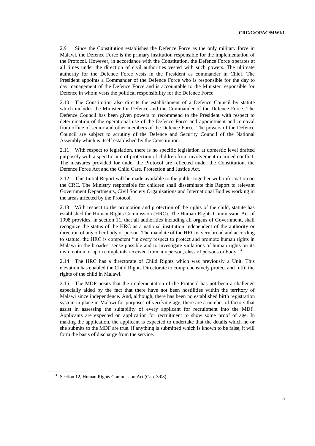2.9 Since the Constitution establishes the Defence Force as the only military force in Malawi, the Defence Force is the primary institution responsible for the implementation of the Protocol. However, in accordance with the Constitution, the Defence Force operates at all times under the direction of civil authorities vested with such powers. The ultimate authority for the Defence Force vests in the President as commander in Chief. The President appoints a Commander of the Defence Force who is responsible for the day to day management of the Defence Force and is accountable to the Minister responsible for Defence in whom vests the political responsibility for the Defence Force.

2.10 The Constitution also directs the establishment of a Defence Council by statute which includes the Minister for Defence and the Commander of the Defence Force. The Defence Council has been given powers to recommend to the President with respect to determination of the operational use of the Defence Force and appointment and removal from office of senior and other members of the Defence Force. The powers of the Defence Council are subject to scrutiny of the Defence and Security Council of the National Assembly which is itself established by the Constitution.

2.11 With respect to legislation, there is no specific legislation at domestic level drafted purposely with a specific aim of protection of children from involvement in armed conflict. The measures provided for under the Protocol are reflected under the Constitution, the Defence Force Act and the Child Care, Protection and Justice Act.

2.12 This Initial Report will be made available to the public together with information on the CRC. The Ministry responsible for children shall disseminate this Report to relevant Government Departments, Civil Society Organizations and International Bodies working in the areas affected by the Protocol.

2.13 With respect to the promotion and protection of the rights of the child, statute has established the Human Rights Commission (HRC). The Human Rights Commission Act of 1998 provides, in section 11, that all authorities including all organs of Government, shall recognize the status of the HRC as a national institution independent of the authority or direction of any other body or person. The mandate of the HRC is very broad and according to statute, the HRC is competent "in every respect to protect and promote human rights in Malawi in the broadest sense possible and to investigate violations of human rights on its own motion or upon complaints received from any person, class of persons or body".<sup>3</sup>

2.14 The HRC has a directorate of Child Rights which was previously a Unit. This elevation has enabled the Child Rights Directorate to comprehensively protect and fulfil the rights of the child in Malawi.

2.15 The MDF posits that the implementation of the Protocol has not been a challenge especially aided by the fact that there have not been hostilities within the territory of Malawi since independence. And, although, there has been no established birth registration system in place in Malawi for purposes of verifying age, there are a number of factors that assist in assessing the suitability of every applicant for recruitment into the MDF. Applicants are expected on application for recruitment to show some proof of age. In making the application, the applicant is expected to undertake that the details which he or she submits to the MDF are true. If anything is submitted which is known to be false, it will form the basis of discharge from the service.

<sup>&</sup>lt;sup>3</sup> Section 12, Human Rights Commission Act (Cap. 3:08).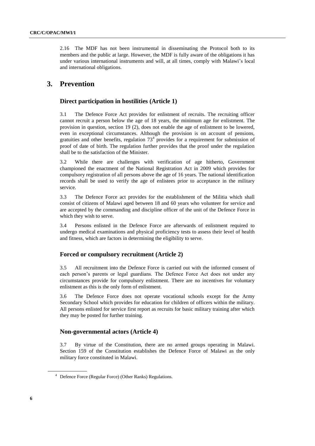2.16 The MDF has not been instrumental in disseminating the Protocol both to its members and the public at large. However, the MDF is fully aware of the obligations it has under various international instruments and will, at all times, comply with Malawi's local and international obligations.

# **3. Prevention**

### **Direct participation in hostilities (Article 1)**

3.1 The Defence Force Act provides for enlistment of recruits. The recruiting officer cannot recruit a person below the age of 18 years, the minimum age for enlistment. The provision in question, section 19 (2), does not enable the age of enlistment to be lowered, even in exceptional circumstances. Although the provision is on account of pensions, gratuities and other benefits, regulation  $73<sup>4</sup>$  provides for a requirement for submission of proof of date of birth. The regulation further provides that the proof under the regulation shall be to the satisfaction of the Minister.

3.2 While there are challenges with verification of age hitherto, Government championed the enactment of the National Registration Act in 2009 which provides for compulsory registration of all persons above the age of 16 years. The national identification records shall be used to verify the age of enlistees prior to acceptance in the military service.

3.3 The Defence Force act provides for the establishment of the Militia which shall consist of citizens of Malawi aged between 18 and 60 years who volunteer for service and are accepted by the commanding and discipline officer of the unit of the Defence Force in which they wish to serve.

3.4 Persons enlisted in the Defence Force are afterwards of enlistment required to undergo medical examinations and physical proficiency tests to assess their level of health and fitness, which are factors in determining the eligibility to serve.

#### **Forced or compulsory recruitment (Article 2)**

3.5 All recruitment into the Defence Force is carried out with the informed consent of each person's parents or legal guardians. The Defence Force Act does not under any circumstances provide for compulsory enlistment. There are no incentives for voluntary enlistment as this is the only form of enlistment.

3.6 The Defence Force does not operate vocational schools except for the Army Secondary School which provides for education for children of officers within the military. All persons enlisted for service first report as recruits for basic military training after which they may be posted for further training.

#### **Non-governmental actors (Article 4)**

3.7 By virtue of the Constitution, there are no armed groups operating in Malawi. Section 159 of the Constitution establishes the Defence Force of Malawi as the only military force constituted in Malawi.

<sup>4</sup> Defence Force (Regular Force) (Other Ranks) Regulations.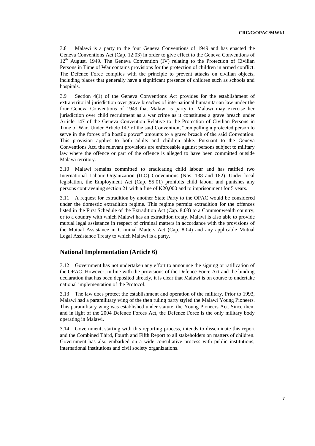3.8 Malawi is a party to the four Geneva Conventions of 1949 and has enacted the Geneva Conventions Act (Cap. 12:03) in order to give effect to the Geneva Conventions of  $12<sup>th</sup>$  August, 1949. The Geneva Convention (IV) relating to the Protection of Civilian Persons in Time of War contains provisions for the protection of children in armed conflict. The Defence Force complies with the principle to prevent attacks on civilian objects, including places that generally have a significant presence of children such as schools and hospitals.

3.9 Section 4(1) of the Geneva Conventions Act provides for the establishment of extraterritorial jurisdiction over grave breaches of international humanitarian law under the four Geneva Conventions of 1949 that Malawi is party to. Malawi may exercise her jurisdiction over child recruitment as a war crime as it constitutes a grave breach under Article 147 of the Geneva Convention Relative to the Protection of Civilian Persons in Time of War. Under Article 147 of the said Convention, "compelling a protected person to serve in the forces of a hostile power" amounts to a grave breach of the said Convention. This provision applies to both adults and children alike. Pursuant to the Geneva Conventions Act, the relevant provisions are enforceable against persons subject to military law where the offence or part of the offence is alleged to have been committed outside Malawi territory.

3.10 Malawi remains committed to eradicating child labour and has ratified two International Labour Organization (ILO) Conventions (Nos. 138 and 182). Under local legislation, the Employment Act (Cap. 55:01) prohibits child labour and punishes any persons contravening section 21 with a fine of K20,000 and to imprisonment for 5 years.

3.11 A request for extradition by another State Party to the OPAC would be considered under the domestic extradition regime. This regime permits extradition for the offences listed in the First Schedule of the Extradition Act (Cap. 8:03) to a Commonwealth country, or to a country with which Malawi has an extradition treaty. Malawi is also able to provide mutual legal assistance in respect of criminal matters in accordance with the provisions of the Mutual Assistance in Criminal Matters Act (Cap. 8:04) and any applicable Mutual Legal Assistance Treaty to which Malawi is a party.

### **National Implementation (Article 6)**

3.12 Government has not undertaken any effort to announce the signing or ratification of the OPAC. However, in line with the provisions of the Defence Force Act and the binding declaration that has been deposited already, it is clear that Malawi is on course to undertake national implementation of the Protocol.

3.13 The law does protect the establishment and operation of the military. Prior to 1993, Malawi had a paramilitary wing of the then ruling party styled the Malawi Young Pioneers. This paramilitary wing was established under statute, the Young Pioneers Act. Since then, and in light of the 2004 Defence Forces Act, the Defence Force is the only military body operating in Malawi.

3.14 Government, starting with this reporting process, intends to disseminate this report and the Combined Third, Fourth and Fifth Report to all stakeholders on matters of children. Government has also embarked on a wide consultative process with public institutions, international institutions and civil society organizations.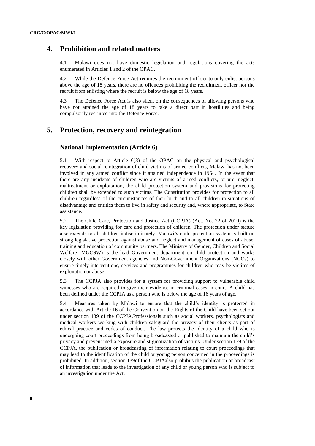### **4. Prohibition and related matters**

4.1 Malawi does not have domestic legislation and regulations covering the acts enumerated in Articles 1 and 2 of the OPAC.

4.2 While the Defence Force Act requires the recruitment officer to only enlist persons above the age of 18 years, there are no offences prohibiting the recruitment officer nor the recruit from enlisting where the recruit is below the age of 18 years.

4.3 The Defence Force Act is also silent on the consequences of allowing persons who have not attained the age of 18 years to take a direct part in hostilities and being compulsorily recruited into the Defence Force.

## **5. Protection, recovery and reintegration**

#### **National Implementation (Article 6)**

5.1 With respect to Article 6(3) of the OPAC on the physical and psychological recovery and social reintegration of child victims of armed conflicts, Malawi has not been involved in any armed conflict since it attained independence in 1964. In the event that there are any incidents of children who are victims of armed conflicts, torture, neglect, maltreatment or exploitation, the child protection system and provisions for protecting children shall be extended to such victims. The Constitution provides for protection to all children regardless of the circumstances of their birth and to all children in situations of disadvantage and entitles them to live in safety and security and, where appropriate, to State assistance.

5.2 The Child Care, Protection and Justice Act (CCPJA) (Act. No. 22 of 2010) is the key legislation providing for care and protection of children. The protection under statute also extends to all children indiscriminately. Malawi's child protection system is built on strong legislative protection against abuse and neglect and management of cases of abuse, training and education of community partners. The Ministry of Gender, Children and Social Welfare (MGCSW) is the lead Government department on child protection and works closely with other Government agencies and Non-Government Organizations (NGOs) to ensure timely interventions, services and programmes for children who may be victims of exploitation or abuse.

5.3 The CCPJA also provides for a system for providing support to vulnerable child witnesses who are required to give their evidence in criminal cases in court. A child has been defined under the CCPJA as a person who is below the age of 16 years of age.

5.4 Measures taken by Malawi to ensure that the child's identity is protected in accordance with Article 16 of the Convention on the Rights of the Child have been set out under section 139 of the CCPJA.Professionals such as social workers, psychologists and medical workers working with children safeguard the privacy of their clients as part of ethical practice and codes of conduct. The law protects the identity of a child who is undergoing court proceedings from being broadcasted or published to maintain the child's privacy and prevent media exposure and stigmatization of victims. Under section 139 of the CCPJA, the publication or broadcasting of information relating to court proceedings that may lead to the identification of the child or young person concerned in the proceedings is prohibited. In addition, section 139of the CCPJAalso prohibits the publication or broadcast of information that leads to the investigation of any child or young person who is subject to an investigation under the Act.